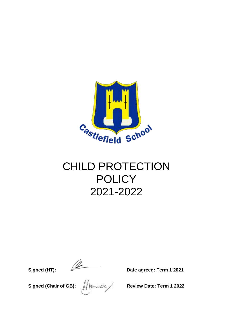

# CHILD PROTECTION **POLICY** 2021-2022

**Signed (HT):** 2021

**Signed (Chair of GB):**  $\iiint_{\mathbb{R}^2} \cos^2 \theta \, d\theta$  Review Date: Term 1 2022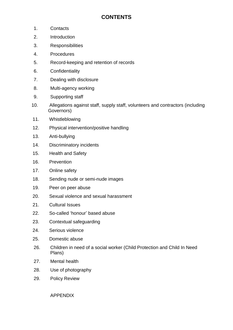## **CONTENTS**

- 1. Contacts
- 2. Introduction
- 3. Responsibilities
- 4. Procedures
- 5. Record-keeping and retention of records
- 6. Confidentiality
- 7. Dealing with disclosure
- 8. Multi-agency working
- 9. Supporting staff
- 10. Allegations against staff, supply staff, volunteers and contractors (including Governors)
- 11. Whistleblowing
- 12. Physical intervention/positive handling
- 13. Anti-bullying
- 14. Discriminatory incidents
- 15. Health and Safety
- 16. Prevention
- 17. Online safety
- 18. Sending nude or semi-nude images
- 19. Peer on peer abuse
- 20. Sexual violence and sexual harassment
- 21. Cultural Issues
- 22. So-called 'honour' based abuse
- 23. Contextual safeguarding
- 24. Serious violence
- 25. Domestic abuse
- 26. Children in need of a social worker (Child Protection and Child In Need Plans)
- 27. Mental health
- 28. Use of photography
- 29. Policy Review

APPENDIX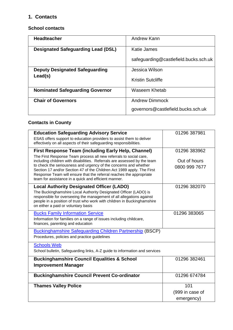## **1. Contacts**

#### **School contacts**

| <b>Headteacher</b>                        | Andrew Kann                           |
|-------------------------------------------|---------------------------------------|
| <b>Designated Safeguarding Lead (DSL)</b> | Katie James                           |
|                                           | safeguarding@castlefield.bucks.sch.uk |
| <b>Deputy Designated Safeguarding</b>     | Jessica Wilson                        |
| Lead(s)                                   | <b>Kristin Sutcliffe</b>              |
| <b>Nominated Safeguarding Governor</b>    | Waseem Khetab                         |
| <b>Chair of Governors</b>                 | <b>Andrew Dimmock</b>                 |
|                                           | governors@castlefield.bucks.sch.uk    |

## **Contacts in County**

| <b>Education Safeguarding Advisory Service</b><br>ESAS offers support to education providers to assist them to deliver<br>effectively on all aspects of their safeguarding responsibilities.                                                                                                                                                                                                                                                                                             | 01296 387981                                  |
|------------------------------------------------------------------------------------------------------------------------------------------------------------------------------------------------------------------------------------------------------------------------------------------------------------------------------------------------------------------------------------------------------------------------------------------------------------------------------------------|-----------------------------------------------|
| <b>First Response Team (including Early Help, Channel)</b><br>The First Response Team process all new referrals to social care,<br>including children with disabilities. Referrals are assessed by the team<br>to check the seriousness and urgency of the concerns and whether<br>Section 17 and/or Section 47 of the Children Act 1989 apply. The First<br>Response Team will ensure that the referral reaches the appropriate<br>team for assistance in a quick and efficient manner. | 01296 383962<br>Out of hours<br>0800 999 7677 |
| <b>Local Authority Designated Officer (LADO)</b><br>The Buckinghamshire Local Authority Designated Officer (LADO) is<br>responsible for overseeing the management of all allegations against<br>people in a position of trust who work with children in Buckinghamshire<br>on either a paid or voluntary basis                                                                                                                                                                           | 01296 382070                                  |
| <b>Bucks Family Information Service</b><br>Information for families on a range of issues including childcare,<br>finances, parenting and education                                                                                                                                                                                                                                                                                                                                       | 01296 383065                                  |
| <b>Buckinghamshire Safeguarding Children Partnership (BSCP)</b><br>Procedures, policies and practice guidelines                                                                                                                                                                                                                                                                                                                                                                          |                                               |
| <b>Schools Web</b><br>School bulletin, Safeguarding links, A-Z guide to information and services                                                                                                                                                                                                                                                                                                                                                                                         |                                               |
| <b>Buckinghamshire Council Equalities &amp; School</b><br><b>Improvement Manager</b>                                                                                                                                                                                                                                                                                                                                                                                                     | 01296 382461                                  |
| <b>Buckinghamshire Council Prevent Co-ordinator</b>                                                                                                                                                                                                                                                                                                                                                                                                                                      | 01296 674784                                  |
| <b>Thames Valley Police</b>                                                                                                                                                                                                                                                                                                                                                                                                                                                              | 101<br>(999 in case of<br>emergency)          |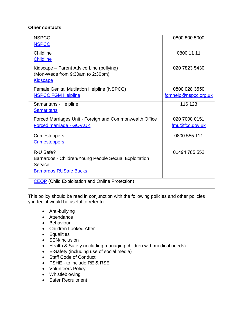#### **Other contacts**

| <b>NSPCC</b>                                            | 0800 800 5000        |
|---------------------------------------------------------|----------------------|
| <b>NSPCC</b>                                            |                      |
| Childline                                               | 0800 11 11           |
| <b>Childline</b>                                        |                      |
| Kidscape – Parent Advice Line (bullying)                | 020 7823 5430        |
| (Mon-Weds from 9:30am to 2:30pm)                        |                      |
| <b>Kidscape</b>                                         |                      |
| <b>Female Genital Mutilation Helpline (NSPCC)</b>       | 0800 028 3550        |
| <b>NSPCC FGM Helpline</b>                               | fgmhelp@nspcc.org.uk |
| Samaritans - Helpline                                   | 116 123              |
| <b>Samaritans</b>                                       |                      |
| Forced Marriages Unit - Foreign and Commonwealth Office | 020 7008 0151        |
| Forced marriage - GOV.UK                                | fmu@fco.gov.uk       |
| Crimestoppers                                           | 0800 555 111         |
| <b>Crimestoppers</b>                                    |                      |
| R-U Safe?                                               | 01494 785 552        |
| Barnardos - Children/Young People Sexual Exploitation   |                      |
| Service                                                 |                      |
| <b>Barnardos RUSafe Bucks</b>                           |                      |
| <b>CEOP</b> (Child Exploitation and Online Protection)  |                      |

This policy should be read in conjunction with the following policies and other policies you feel it would be useful to refer to:

- Anti-bullying
- Attendance
- Behaviour
- Children Looked After
- Equalities
- SEN/Inclusion
- Health & Safety (including managing children with medical needs)
- E-Safety (including use of social media)
- Staff Code of Conduct
- PSHE to include RE & RSE
- Volunteers Policy
- Whistleblowing
- Safer Recruitment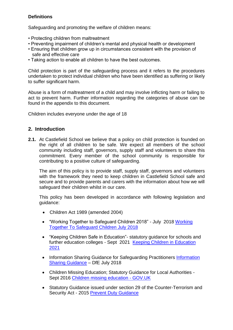## **Definitions**

Safeguarding and promoting the welfare of children means:

- Protecting children from maltreatment
- Preventing impairment of children's mental and physical health or development
- Ensuring that children grow up in circumstances consistent with the provision of safe and effective care
- Taking action to enable all children to have the best outcomes.

Child protection is part of the safeguarding process and it refers to the procedures undertaken to protect individual children who have been identified as suffering or likely to suffer significant harm.

Abuse is a form of maltreatment of a child and may involve inflicting harm or failing to act to prevent harm. Further information regarding the categories of abuse can be found in the appendix to this document.

Children includes everyone under the age of 18

## **2. Introduction**

**2.1.** At Castlefield School we believe that a policy on child protection is founded on the right of all children to be safe. We expect all members of the school community including staff, governors, supply staff and volunteers to share this commitment. Every member of the school community is responsible for contributing to a positive culture of safeguarding.

The aim of this policy is to provide staff, supply staff, governors and volunteers with the framework they need to keep children in Castlefield School safe and secure and to provide parents and carers with the information about how we will safeguard their children whilst in our care.

This policy has been developed in accordance with following legislation and guidance:

- Children Act 1989 (amended 2004)
- "Working Together to Safeguard Children 2018" July 2018 [Working](https://www.gov.uk/government/publications/working-together-to-safeguard-children--2)  [Together To Safeguard Children July 2018](https://www.gov.uk/government/publications/working-together-to-safeguard-children--2)
- "Keeping Children Safe in Education"- statutory guidance for schools and further education colleges - Sept 2021 [Keeping Children in Education](https://assets.publishing.service.gov.uk/government/uploads/system/uploads/attachment_data/file/999348/Keeping_children_safe_in_education_2021.pdf)  [2021](https://assets.publishing.service.gov.uk/government/uploads/system/uploads/attachment_data/file/999348/Keeping_children_safe_in_education_2021.pdf)
- • [Information](https://www.gov.uk/government/publications/safeguarding-practitioners-information-sharing-advice) Sharing Guidance for Safeguarding Practitioners Information [Sharing Guidance](https://www.gov.uk/government/publications/safeguarding-practitioners-information-sharing-advice) – DfE July 2018
- Children Missing Education; Statutory Guidance for Local Authorities Sept 2016 [Children missing education -](https://www.gov.uk/government/publications/children-missing-education) GOV.UK
- Statutory Guidance issued under section 29 of the Counter-Terrorism and Security Act - 2015 [Prevent Duty Guidance](https://www.gov.uk/government/publications/prevent-duty-guidance)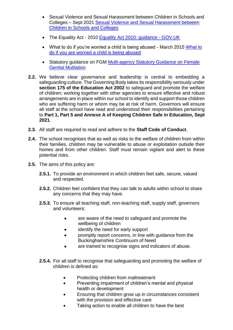- Sexual Violence and Sexual Harassment between Children in Schools and Colleges – Sept 2021 [Sexual Violence and Sexual Harassment between](https://assets.publishing.service.gov.uk/government/uploads/system/uploads/attachment_data/file/999239/SVSH_2021.pdf)  [Children in Schools and Colleges](https://assets.publishing.service.gov.uk/government/uploads/system/uploads/attachment_data/file/999239/SVSH_2021.pdf)
- The Equality Act 2010 Equality Act 2010: quidance GOV.UK
- • [What to](https://assets.publishing.service.gov.uk/government/uploads/system/uploads/attachment_data/file/419604/What_to_do_if_you_re_worried_a_child_is_being_abused.pdf) do if you're worried a child is being abused March 2015 What to [do if you are worried a child is being abused](https://assets.publishing.service.gov.uk/government/uploads/system/uploads/attachment_data/file/419604/What_to_do_if_you_re_worried_a_child_is_being_abused.pdf)
- Statutory guidance on FGM Multi-agency Statutory Guidance on Female [Genital Mutilation](https://assets.publishing.service.gov.uk/government/uploads/system/uploads/attachment_data/file/912996/6-1914-HO-Multi_Agency_Statutory_Guidance_on_FGM__-_MASTER_V7_-_FINAL__July_2020.pdf)
- **2.2.** We believe clear governance and leadership is central to embedding a safeguarding culture. The Governing Body takes its responsibility seriously under **section 175 of the Education Act 2002** to safeguard and promote the welfare of children; working together with other agencies to ensure effective and robust arrangements are in place within our school to identify and support those children who are suffering harm or whom may be at risk of harm. Governors will ensure all staff at the school have read and understood their responsibilities pertaining to **Part 1, Part 5 and Annexe A of Keeping Children Safe in Education, Sept 2021**.
- **2.3.** All staff are required to read and adhere to the **Staff Code of Conduct**.
- **2.4.** The school recognises that as well as risks to the welfare of children from within their families, children may be vulnerable to abuse or exploitation outside their homes and from other children. Staff must remain vigilant and alert to these potential risks.
- **2.5.** The aims of this policy are:
	- **2.5.1.** To provide an environment in which children feel safe, secure, valued and respected.
	- **2.5.2.** Children feel confident that they can talk to adults within school to share any concerns that they may have.
	- **2.5.3.** To ensure all teaching staff, non-teaching staff, supply staff, governors and volunteers:
		- are aware of the need to safeguard and promote the wellbeing of children
		- identify the need for early support
		- promptly report concerns, in line with guidance from the Buckinghamshire Continuum of Need
		- are trained to recognise signs and indicators of abuse.
	- **2.5.4.** For all staff to recognise that safeguarding and promoting the welfare of children is defined as:
		- Protecting children from maltreatment
		- Preventing impairment of children's mental and physical health or development
		- Ensuring that children grow up in circumstances consistent with the provision and effective care
		- Taking action to enable all children to have the best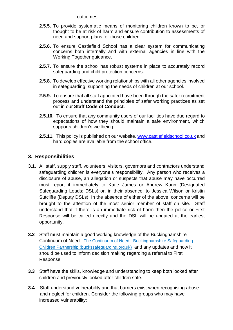outcomes.

- **2.5.5.** To provide systematic means of monitoring children known to be, or thought to be at risk of harm and ensure contribution to assessments of need and support plans for those children.
- **2.5.6.** To ensure Castlefield School has a clear system for communicating concerns both internally and with external agencies in line with the Working Together guidance.
- **2.5.7.** To ensure the school has robust systems in place to accurately record safeguarding and child protection concerns.
- **2.5.8.** To develop effective working relationships with all other agencies involved in safeguarding, supporting the needs of children at our school.
- **2.5.9.** To ensure that all staff appointed have been through the safer recruitment process and understand the principles of safer working practices as set out in our **Staff Code of Conduct**.
- **2.5.10.** To ensure that any community users of our facilities have due regard to expectations of how they should maintain a safe environment, which supports children's wellbeing.
- **2.5.11.** This policy is published on our website, [www.castlefieldschool.co.uk](http://www.castlefieldschool.co.uk/) and hard copies are available from the school office.

## **3. Responsibilities**

- **3.1.** All staff, supply staff, volunteers, visitors, governors and contractors understand safeguarding children is everyone's responsibility. Any person who receives a disclosure of abuse, an allegation or suspects that abuse may have occurred must report it immediately to Katie James or Andrew Kann (Designated Safeguarding Leads; DSLs) or, in their absence, to Jessica Wilson or Kristin Sutcliffe (Deputy DSLs). In the absence of either of the above, concerns will be brought to the attention of the most senior member of staff on site. Staff understand that if there is an immediate risk of harm then the police or First Response will be called directly and the DSL will be updated at the earliest opportunity.
- **3.2** Staff must maintain a good working knowledge of the Buckinghamshire Continuum of Need The Continuum of Need - [Buckinghamshire Safeguarding](https://www.buckssafeguarding.org.uk/childrenpartnership/professionals/continuum-of-need/)  [Children Partnership \(buckssafeguarding.org.uk\)](https://www.buckssafeguarding.org.uk/childrenpartnership/professionals/continuum-of-need/) and any updates and how it should be used to inform decision making regarding a referral to First Response.
- **3.3** Staff have the skills, knowledge and understanding to keep both looked after children and previously looked after children safe.
- **3.4** Staff understand vulnerability and that barriers exist when recognising abuse and neglect for children. Consider the following groups who may have increased vulnerability: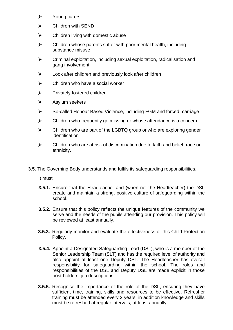- ➢ Young carers
- ➢ Children with SEND
- $\triangleright$  Children living with domestic abuse
- ➢ Children whose parents suffer with poor mental health, including substance misuse
- ➢ Criminal exploitation, including sexual exploitation, radicalisation and gang involvement
- ➢ Look after children and previously look after children
- $\triangleright$  Children who have a social worker
- ➢ Privately fostered children
- ➢ Asylum seekers
- ➢ So-called Honour Based Violence, including FGM and forced marriage
- ➢ Children who frequently go missing or whose attendance is a concern
- ➢ Children who are part of the LGBTQ group or who are exploring gender identification
- ➢ Children who are at risk of discrimination due to faith and belief, race or ethnicity.
- **3.5.** The Governing Body understands and fulfils its safeguarding responsibilities.

It must:

- **3.5.1.** Ensure that the Headteacher and (when not the Headteacher) the DSL create and maintain a strong, positive culture of safeguarding within the school.
- **3.5.2.** Ensure that this policy reflects the unique features of the community we serve and the needs of the pupils attending our provision. This policy will be reviewed at least annually.
- **3.5.3.** Regularly monitor and evaluate the effectiveness of this Child Protection Policy.
- **3.5.4.** Appoint a Designated Safeguarding Lead (DSL), who is a member of the Senior Leadership Team (SLT) and has the required level of authority and also appoint at least one Deputy DSL. The Headteacher has overall responsibility for safeguarding within the school. The roles and responsibilities of the DSL and Deputy DSL are made explicit in those post-holders' job descriptions.
- **3.5.5.** Recognise the importance of the role of the DSL, ensuring they have sufficient time, training, skills and resources to be effective. Refresher training must be attended every 2 years, in addition knowledge and skills must be refreshed at regular intervals, at least annually.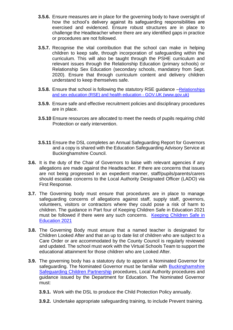- **3.5.6.** Ensure measures are in place for the governing body to have oversight of how the school's delivery against its safeguarding responsibilities are exercised and evidenced. Ensure robust structures are in place to challenge the Headteacher where there are any identified gaps in practice or procedures are not followed.
- **3.5.7.** Recognise the vital contribution that the school can make in helping children to keep safe, through incorporation of safeguarding within the curriculum. This will also be taught through the PSHE curriculum and relevant issues through the Relationship Education (primary schools) or Relationship Sex Education (secondary schools, mandatory from Sept. 2020). Ensure that through curriculum content and delivery children understand to keep themselves safe.
- **3.5.8.** Ensure that school is following the statutory RSE guidance –Relationships [and sex education \(RSE\) and health education -](https://www.gov.uk/government/publications/relationships-education-relationships-and-sex-education-rse-and-health-education) GOV.UK (www.gov.uk)
- **3.5.9.** Ensure safe and effective recruitment policies and disciplinary procedures are in place.
- **3.5.10** Ensure resources are allocated to meet the needs of pupils requiring child Protection or early intervention.
- **3.5.11** Ensure the DSL completes an Annual Safeguarding Report for Governors and a copy is shared with the Education Safeguarding Advisory Service at Buckinghamshire Council.
- **3.6.** It is the duty of the Chair of Governors to liaise with relevant agencies if any allegations are made against the Headteacher. If there are concerns that issues are not being progressed in an expedient manner, staff/pupils/parents/carers should escalate concerns to the Local Authority Designated Officer (LADO) via First Response.
- **3.7.** The Governing body must ensure that procedures are in place to manage safeguarding concerns of allegations against staff, supply staff, governors, volunteers, visitors or contractors where they could pose a risk of harm to children. The guidance in Part four of Keeping Children Safe in Education 2021 must be followed if there were any such concerns. [Keeping Children Safe in](https://assets.publishing.service.gov.uk/government/uploads/system/uploads/attachment_data/file/999348/Keeping_children_safe_in_education_2021.pdf)  [Education 2021](https://assets.publishing.service.gov.uk/government/uploads/system/uploads/attachment_data/file/999348/Keeping_children_safe_in_education_2021.pdf)
- **3.8.** The Governing Body must ensure that a named teacher is designated for Children Looked After and that an up to date list of children who are subject to a Care Order or are accommodated by the County Council is regularly reviewed and updated. The school must work with the Virtual Schools Team to support the educational attainment for those children who are Looked After.
- **3.9.** The governing body has a statutory duty to appoint a Nominated Governor for safeguarding. The Nominated Governor must be familiar with [Buckinghamshire](https://www.bucks-lscb.org.uk/)  [Safeguarding Children Partnership](https://www.bucks-lscb.org.uk/) procedures, Local Authority procedures and guidance issued by the Department for Education. The Nominated Governor must:
	- **3.9.1.** Work with the DSL to produce the Child Protection Policy annually.
	- **3.9.2.** Undertake appropriate safeguarding training, to include Prevent training.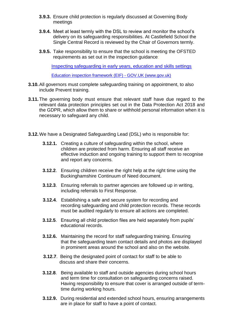- **3.9.3.** Ensure child protection is regularly discussed at Governing Body meetings
- **3.9.4.** Meet at least termly with the DSL to review and monitor the school's delivery on its safeguarding responsibilities. At Castlefield School the Single Central Record is reviewed by the Chair of Governors termly.
- **3.9.5.** Take responsibility to ensure that the school is meeting the OFSTED requirements as set out in the inspection guidance:

[Inspecting safeguarding in early years, education and skills settings](https://assets.publishing.service.gov.uk/government/uploads/system/uploads/attachment_data/file/828763/Inspecting_safeguarding_in_early_years__education_and_skills.pdf)

[Education inspection framework \(EIF\) -](https://www.gov.uk/government/publications/education-inspection-framework) GOV.UK (www.gov.uk)

- **3.10.**All governors must complete safeguarding training on appointment, to also include Prevent training.
- **3.11.**The governing body must ensure that relevant staff have due regard to the relevant data protection principles set out in the Data Protection Act 2018 and the GDPR, which allow them to share or withhold personal information when it is necessary to safeguard any child.
- **3.12.**We have a Designated Safeguarding Lead (DSL) who is responsible for:
	- **3.12.1.** Creating a culture of safeguarding within the school, where children are protected from harm. Ensuring all staff receive an effective induction and ongoing training to support them to recognise and report any concerns.
	- **3.12.2**. Ensuring children receive the right help at the right time using the Buckinghamshire Continuum of Need document.
	- **3.12.3**. Ensuring referrals to partner agencies are followed up in writing, including referrals to First Response.
	- **3.12.4**. Establishing a safe and secure system for recording and recording safeguarding and child protection records. These records must be audited regularly to ensure all actions are completed.
	- **3.12.5**. Ensuring all child protection files are held separately from pupils' educational records.
	- **3.12.6.** Maintaining the record for staff safeguarding training. Ensuring that the safeguarding team contact details and photos are displayed in prominent areas around the school and also on the website.
	- **3.12.7**. Being the designated point of contact for staff to be able to discuss and share their concerns.
	- **3.12.8**. Being available to staff and outside agencies during school hours and term time for consultation on safeguarding concerns raised. Having responsibility to ensure that cover is arranged outside of term time during working hours.
	- **3.12.9.** During residential and extended school hours, ensuring arrangements are in place for staff to have a point of contact.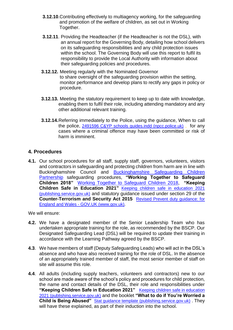- **3.12.10**.Contributing effectively to multiagency working, for the safeguarding and promotion of the welfare of children, as set out in Working Together.
- **3.12.11**. Providing the Headteacher (if the Headteacher is not the DSL), with an annual report for the Governing Body, detailing how school delivers on its safeguarding responsibilities and any child protection issues within the school. The Governing Body will use this report to fulfil its responsibility to provide the Local Authority with information about their safeguarding policies and procedures.
- **3.12.12.** Meeting regularly with the Nominated Governor to share oversight of the safeguarding provision within the setting, monitor performance and develop plans to rectify any gaps in policy or procedure.
- **3.12.13.** Meeting the statutory requirement to keep up to date with knowledge, enabling them to fulfil their role, including attending mandatory and any other additional relevant training.
- **3.12.14.**Referring immediately to the Police, using the guidance, When to call the police, [2491596 C&YP schools guides.indd \(npcc.police.uk\)](https://www.npcc.police.uk/documents/Children%20and%20Young%20people/When%20to%20call%20the%20police%20guidance%20for%20schools%20and%20colleges.pdf), for any cases where a criminal offence may have been committed or risk of harm is imminent.

## **4. Procedures**

**4.1.** Our school procedures for all staff, supply staff, governors, volunteers, visitors and contractors in safeguarding and protecting children from harm are in line with Buckinghamshire Council and [Buckinghamshire Safeguarding Children](https://www.bucks-lscb.org.uk/)  [Partnership](https://www.bucks-lscb.org.uk/) safeguarding procedures, **"Working Together to Safeguard Children 2018"** [Working Together to Safeguard Children 2018,](https://assets.publishing.service.gov.uk/government/uploads/system/uploads/attachment_data/file/942454/Working_together_to_safeguard_children_inter_agency_guidance.pdf) **"Keeping Children Safe in Education 2021"** [Keeping children safe in education 2021](https://assets.publishing.service.gov.uk/government/uploads/system/uploads/attachment_data/file/999348/Keeping_children_safe_in_education_2021.pdf)  [\(publishing.service.gov.uk\)](https://assets.publishing.service.gov.uk/government/uploads/system/uploads/attachment_data/file/999348/Keeping_children_safe_in_education_2021.pdf) and statutory guidance issued under section 29 of the **Counter-Terrorism and Security Act 2015** [Revised Prevent duty guidance: for](https://www.gov.uk/government/publications/prevent-duty-guidance/revised-prevent-duty-guidance-for-england-and-wales)  England and Wales - [GOV.UK \(www.gov.uk\).](https://www.gov.uk/government/publications/prevent-duty-guidance/revised-prevent-duty-guidance-for-england-and-wales)

We will ensure:

- **4.2.** We have a designated member of the Senior Leadership Team who has undertaken appropriate training for the role, as recommended by the BSCP. Our Designated Safeguarding Lead (DSL) will be required to update their training in accordance with the Learning Pathway agreed by the BSCP.
- **4.3**. We have members of staff (Deputy Safeguarding Leads) who will act in the DSL's absence and who have also received training for the role of DSL. In the absence of an appropriately trained member of staff, the most senior member of staff on site will assume this role.
- **4.4**. All adults (including supply teachers, volunteers and contractors) new to our school are made aware of the school's policy and procedures for child protection, the name and contact details of the DSL, their role and responsibilities under **"Keeping Children Safe in Education 2021"** [Keeping children safe in education](https://assets.publishing.service.gov.uk/government/uploads/system/uploads/attachment_data/file/999348/Keeping_children_safe_in_education_2021.pdf)  [2021 \(publishing.service.gov.uk\)](https://assets.publishing.service.gov.uk/government/uploads/system/uploads/attachment_data/file/999348/Keeping_children_safe_in_education_2021.pdf) and the booklet **"What to do if You're Worried a Child is Being Abused"** [Stat guidance template \(publishing.service.gov.uk\)](https://assets.publishing.service.gov.uk/government/uploads/system/uploads/attachment_data/file/419604/What_to_do_if_you_re_worried_a_child_is_being_abused.pdf). They will have these explained, as part of their induction into the school.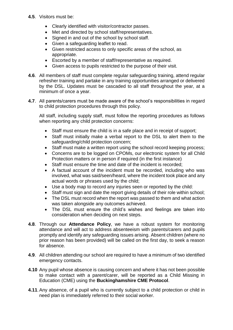- **4.5**. Visitors must be:
	- Clearly identified with visitor/contractor passes.
	- Met and directed by school staff/representatives.
	- Signed in and out of the school by school staff.
	- Given a safeguarding leaflet to read.
	- Given restricted access to only specific areas of the school, as appropriate.
	- Escorted by a member of staff/representative as required.
	- Given access to pupils restricted to the purpose of their visit.
- **4.6**. All members of staff must complete regular safeguarding training, attend regular refresher training and partake in any training opportunities arranged or delivered by the DSL. Updates must be cascaded to all staff throughout the year, at a minimum of once a year.
- **4.7**. All parents/carers must be made aware of the school's responsibilities in regard to child protection procedures through this policy.

All staff, including supply staff, must follow the reporting procedures as follows when reporting any child protection concerns:

- Staff must ensure the child is in a safe place and in receipt of support;
- Staff must initially make a verbal report to the DSL to alert them to the safeguarding/child protection concern;
- Staff must make a written report using the school record keeping process;
- Concerns are to be logged on CPOMs, our electronic system for all Child Protection matters or in person if required (in the first instance)
- Staff must ensure the time and date of the incident is recorded;
- A factual account of the incident must be recorded, including who was involved, what was said/seen/heard, where the incident took place and any actual words or phrases used by the child;
- Use a body map to record any injuries seen or reported by the child:
- Staff must sign and date the report giving details of their role within school;
- The DSL must record when the report was passed to them and what action was taken alongside any outcomes achieved.
- The DSL must ensure the child's wishes and feelings are taken into consideration when deciding on next steps.
- **4.8**. Through our **Attendance Policy**, we have a robust system for monitoring attendance and will act to address absenteeism with parents/carers and pupils promptly and identify any safeguarding issues arising. Absent children (where no prior reason has been provided) will be called on the first day, to seek a reason for absence.
- **4.9**. All children attending our school are required to have a minimum of two identified emergency contacts.
- **4.10** Any pupil whose absence is causing concern and where it has not been possible to make contact with a parent/carer, will be reported as a Child Missing in Education (CME) using the **Buckinghamshire CME Protocol**.
- **4.11**.Any absence, of a pupil who is currently subject to a child protection or child in need plan is immediately referred to their social worker.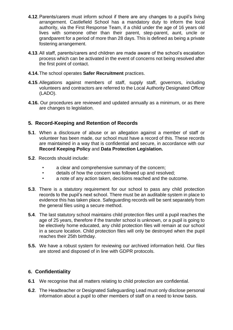- **4.12**.Parents/carers must inform school if there are any changes to a pupil's living arrangement. Castlefield School has a mandatory duty to inform the local authority, via the First Response Team, if a child under the age of 16 years old lives with someone other than their parent, step-parent, aunt, uncle or grandparent for a period of more than 28 days. This is defined as being a private fostering arrangement.
- **4.13**.All staff, parents/carers and children are made aware of the school's escalation process which can be activated in the event of concerns not being resolved after the first point of contact.
- **4.14.**The school operates **Safer Recruitment** practices.
- **4.15**.Allegations against members of staff, supply staff, governors, including volunteers and contractors are referred to the Local Authority Designated Officer (LADO).
- **4.16.** Our procedures are reviewed and updated annually as a minimum, or as there are changes to legislation.

## **5. Record-Keeping and Retention of Records**

- **5.1**. When a disclosure of abuse or an allegation against a member of staff or volunteer has been made, our school must have a record of this. These records are maintained in a way that is confidential and secure, in accordance with our **Record Keeping Policy** and **Data Protection Legislation.**
- **5.2**. Records should include:
	- a clear and comprehensive summary of the concern;
	- details of how the concern was followed up and resolved;
	- a note of any action taken, decisions reached and the outcome.
- **5.3**. There is a statutory requirement for our school to pass any child protection records to the pupil's next school. There must be an auditable system in place to evidence this has taken place. Safeguarding records will be sent separately from the general files using a secure method.
- **5.4**. The last statutory school maintains child protection files until a pupil reaches the age of 25 years, therefore if the transfer school is unknown, or a pupil is going to be electively home educated, any child protection files will remain at our school in a secure location. Child protection files will only be destroyed when the pupil reaches their 25th birthday.
- **5.5.** We have a robust system for reviewing our archived information held. Our files are stored and disposed of in line with GDPR protocols.

## **6. Confidentiality**

- **6.1** We recognise that all matters relating to child protection are confidential.
- **6.2**. The Headteacher or Designated Safeguarding Lead must only disclose personal information about a pupil to other members of staff on a need to know basis.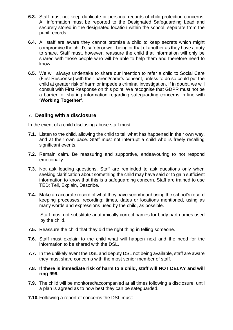- **6.3.** Staff must not keep duplicate or personal records of child protection concerns. All information must be reported to the Designated Safeguarding Lead and securely stored in the designated location within the school, separate from the pupil records.
- **6.4.** All staff are aware they cannot promise a child to keep secrets which might compromise the child's safety or well-being or that of another as they have a duty to share. Staff must, however, reassure the child that information will only be shared with those people who will be able to help them and therefore need to know.
- **6.5.** We will always undertake to share our intention to refer a child to Social Care (First Response) with their parent/carer's consent, unless to do so could put the child at greater risk of harm or impede a criminal investigation. If in doubt, we will consult with First Response on this point. We recognise that GDPR must not be a barrier for sharing information regarding safeguarding concerns in line with **'Working Together'**.

## 7. **Dealing with a disclosure**

In the event of a child disclosing abuse staff must:

- **7.1.** Listen to the child, allowing the child to tell what has happened in their own way, and at their own pace. Staff must not interrupt a child who is freely recalling significant events.
- **7.2.** Remain calm. Be reassuring and supportive, endeavouring to not respond emotionally.
- **7.3.** Not ask leading questions. Staff are reminded to ask questions only when seeking clarification about something the child may have said or to gain sufficient information to know that this is a safeguarding concern. Staff are trained to use TED; Tell, Explain, Describe.
- **7.4.** Make an accurate record of what they have seen/heard using the school's record keeping processes, recording; times, dates or locations mentioned, using as many words and expressions used by the child, as possible.

Staff must not substitute anatomically correct names for body part names used by the child.

- **7.5.** Reassure the child that they did the right thing in telling someone.
- **7.6.** Staff must explain to the child what will happen next and the need for the information to be shared with the DSL.
- **7.7.** In the unlikely event the DSL and deputy DSL not being available, staff are aware they must share concerns with the most senior member of staff.
- **7.8. If there is immediate risk of harm to a child, staff will NOT DELAY and will ring 999.**
- **7.9.** The child will be monitored/accompanied at all times following a disclosure, until a plan is agreed as to how best they can be safeguarded.
- **7.10.**Following a report of concerns the DSL must: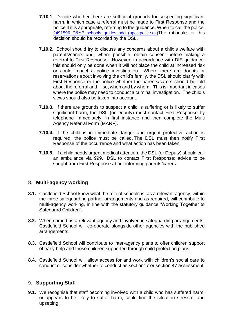- **7.10.1.** Decide whether there are sufficient grounds for suspecting significant harm, in which case a referral must be made to First Response and the police if it is appropriate, referring to the guidance, When to call the police, [2491596 C&YP schools guides.indd \(npcc.police.uk\)](https://www.npcc.police.uk/documents/Children%20and%20Young%20people/When%20to%20call%20the%20police%20guidance%20for%20schools%20and%20colleges.pdf)The rationale for this decision should be recorded by the DSL.
- **7.10.2.** School should try to discuss any concerns about a child's welfare with parents/carers and, where possible, obtain consent before making a referral to First Response. However, in accordance with DfE guidance, this should only be done when it will not place the child at increased risk or could impact a police investigation. Where there are doubts or reservations about involving the child's family, the DSL should clarify with First Response or the police whether the parents/carers should be told about the referral and, if so, when and by whom. This is important in cases where the police may need to conduct a criminal investigation. The child's views should also be taken into account.
- **7.10.3.** If there are grounds to suspect a child is suffering or is likely to suffer significant harm, the DSL (or Deputy) must contact First Response by telephone immediately, in first instance and then complete the Multi Agency Referral Form (MARF).
- **7.10.4.** If the child is in immediate danger and urgent protective action is required, the police must be called. The DSL must then notify First Response of the occurrence and what action has been taken.
- **7.10.5.** If a child needs urgent medical attention, the DSL (or Deputy) should call an ambulance via 999. DSL to contact First Response; advice to be sought from First Response about informing parents/carers.

## 8. **Multi-agency working**

- **8.1.** Castlefield School know what the role of schools is, as a relevant agency, within the three safeguarding partner arrangements and as required, will contribute to multi-agency working, in line with the statutory guidance 'Working Together to Safeguard Children'.
- **8.2.** When named as a relevant agency and involved in safeguarding arrangements, Castlefield School will co-operate alongside other agencies with the published arrangements.
- **8.3.** Castlefield School will contribute to inter-agency plans to offer children support of early help and those children supported through child protection plans.
- **8.4.** Castlefield School will allow access for and work with children's social care to conduct or consider whether to conduct as section17 or section 47 assessment.

## 9. **Supporting Staff**

**9.1.** We recognise that staff becoming involved with a child who has suffered harm, or appears to be likely to suffer harm, could find the situation stressful and upsetting.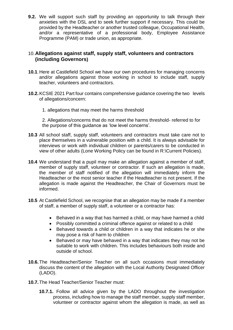**9.2.** We will support such staff by providing an opportunity to talk through their anxieties with the DSL and to seek further support if necessary. This could be provided by the Headteacher or another trusted colleague, Occupational Health, and/or a representative of a professional body, Employee Assistance Programme (PAM) or trade union, as appropriate.

## 10.**Allegations against staff, supply staff, volunteers and contractors (including Governors)**

- **10.1**.Here at Castlefield School we have our own procedures for managing concerns and/or allegations against those working in school to include staff, supply teacher, volunteers and contractors.
- **10.2.**KCSIE 2021 Part four contains comprehensive guidance covering the two levels of allegations/concern:
	- 1. allegations that may meet the harms threshold

2. Allegations/concerns that do not meet the harms threshold- referred to for the purpose of this guidance as 'low level concerns'.

- **10.3** All school staff, supply staff, volunteers and contractors must take care not to place themselves in a vulnerable position with a child. It is always advisable for interviews or work with individual children or parents/carers to be conducted in view of other adults (Lone Working Policy can be found in R:\Current Policies).
- **10.4** We understand that a pupil may make an allegation against a member of staff, member of supply staff, volunteer or contractor. If such an allegation is made, the member of staff notified of the allegation will immediately inform the Headteacher or the most senior teacher if the Headteacher is not present. If the allegation is made against the Headteacher, the Chair of Governors must be informed.
- **10.5** At Castlefield School, we recognise that an allegation may be made if a member of staff, a member of supply staff, a volunteer or a contractor has:
	- Behaved in a way that has harmed a child, or may have harmed a child
	- Possibly committed a criminal offence against or related to a child
	- Behaved towards a child or children in a way that indicates he or she may pose a risk of harm to children
	- Behaved or may have behaved in a way that indicates they may not be suitable to work with children. This includes behaviours both inside and outside of school.
- **10.6.**The Headteacher/Senior Teacher on all such occasions must immediately discuss the content of the allegation with the Local Authority Designated Officer (LADO).
- **10.7.**The Head Teacher/Senior Teacher must:
	- **10.7.1.** Follow all advice given by the LADO throughout the investigation process, including how to manage the staff member, supply staff member, volunteer or contractor against whom the allegation is made, as well as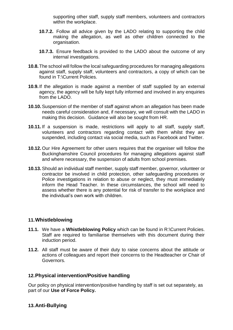supporting other staff, supply staff members, volunteers and contractors within the workplace.

- **10.7.2.** Follow all advice given by the LADO relating to supporting the child making the allegation, as well as other children connected to the organisation.
- **10.7.3.** Ensure feedback is provided to the LADO about the outcome of any internal investigations.
- **10.8.**The school will follow the local safeguarding procedures for managing allegations against staff, supply staff, volunteers and contractors, a copy of which can be found in T:\Current Policies.
- **10.9.**If the allegation is made against a member of staff supplied by an external agency, the agency will be fully kept fully informed and involved in any enquiries from the LADO.
- **10.10.**Suspension of the member of staff against whom an allegation has been made needs careful consideration and, if necessary, we will consult with the LADO in making this decision. Guidance will also be sought from HR.
- **10.11.** If a suspension is made, restrictions will apply to all staff, supply staff, volunteers and contractors regarding contact with them whilst they are suspended, including contact via social media, such as Facebook and Twitter.
- **10.12.** Our Hire Agreement for other users requires that the organiser will follow the Buckinghamshire Council procedures for managing allegations against staff and where necessary, the suspension of adults from school premises.
- **10.13.**Should an individual staff member, supply staff member, governor, volunteer or contractor be involved in child protection, other safeguarding procedures or Police investigations in relation to abuse or neglect, they must immediately inform the Head Teacher. In these circumstances, the school will need to assess whether there is any potential for risk of transfer to the workplace and the individual's own work with children.

## **11.Whistleblowing**

- **11.1.** We have a **Whistleblowing Policy** which can be found in R:\Current Policies. Staff are required to familiarise themselves with this document during their induction period.
- **11.2.** All staff must be aware of their duty to raise concerns about the attitude or actions of colleagues and report their concerns to the Headteacher or Chair of Governors.

## **12.Physical intervention/Positive handling**

Our policy on physical intervention/positive handling by staff is set out separately, as part of our **Use of Force Policy.**

## **13.Anti-Bullying**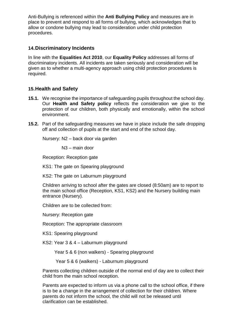Anti-Bullying is referenced within the **Anti Bullying Policy** and measures are in place to prevent and respond to all forms of bullying, which acknowledges that to allow or condone bullying may lead to consideration under child protection procedures.

## **14.Discriminatory Incidents**

In line with the **Equalities Act 2010**, our **Equality Policy** addresses all forms of discriminatory incidents. All incidents are taken seriously and consideration will be given as to whether a multi-agency approach using child protection procedures is required.

## **15.Health and Safety**

- **15.1.** We recognise the importance of safeguarding pupils throughout the school day. Our **Health and Safety policy** reflects the consideration we give to the protection of our children, both physically and emotionally, within the school environment.
- **15.2.** Part of the safeguarding measures we have in place include the safe dropping off and collection of pupils at the start and end of the school day.

Nursery: N2 – back door via garden

N3 – main door

Reception: Reception gate

KS1: The gate on Spearing playground

KS2: The gate on Laburnum playground

Children arriving to school after the gates are closed (8:50am) are to report to the main school office (Reception, KS1, KS2) and the Nursery building main entrance (Nursery).

Children are to be collected from:

Nursery: Reception gate

Reception: The appropriate classroom

KS1: Spearing playground

KS2: Year 3 & 4 – Laburnum playground

Year 5 & 6 (non walkers) - Spearing playground

Year 5 & 6 (walkers) - Laburnum playground

Parents collecting children outside of the normal end of day are to collect their child from the main school reception.

Parents are expected to inform us via a phone call to the school office, if there is to be a change in the arrangement of collection for their children. Where parents do not inform the school, the child will not be released until clarification can be established.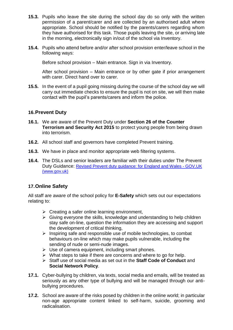- **15.3.** Pupils who leave the site during the school day do so only with the written permission of a parent/carer and are collected by an authorised adult where appropriate. School should be notified by the parents/carers regarding whom they have authorised for this task. Those pupils leaving the site, or arriving late in the morning, electronically sign in/out of the school via Inventory.
- **15.4.** Pupils who attend before and/or after school provision enter/leave school in the following ways:

Before school provision – Main entrance. Sign in via Inventory.

After school provision – Main entrance or by other gate if prior arrangement with carer. Direct hand over to carer.

**15.5.** In the event of a pupil going missing during the course of the school day we will carry out immediate checks to ensure the pupil is not on site, we will then make contact with the pupil's parents/carers and inform the police.

## **16.Prevent Duty**

- **16.1.** We are aware of the Prevent Duty under **Section 26 of the Counter Terrorism and Security Act 2015** to protect young people from being drawn into terrorism.
- **16.2.** All school staff and governors have completed Prevent training.
- **16.3.** We have in place and monitor appropriate web filtering systems.
- **16.4.** The DSLs and senior leaders are familiar with their duties under The Prevent Duty Guidance: [Revised Prevent duty guidance: for England and Wales -](https://www.gov.uk/government/publications/prevent-duty-guidance/revised-prevent-duty-guidance-for-england-and-wales) GOV.UK [\(www.gov.uk\)](https://www.gov.uk/government/publications/prevent-duty-guidance/revised-prevent-duty-guidance-for-england-and-wales)

## **17.Online Safety**

All staff are aware of the school policy for **E-Safety** which sets out our expectations relating to:

- $\triangleright$  Creating a safer online learning environment,
- $\triangleright$  Giving everyone the skills, knowledge and understanding to help children stay safe on-line, question the information they are accessing and support the development of critical thinking,
- ➢ Inspiring safe and responsible use of mobile technologies, to combat behaviours on-line which may make pupils vulnerable, including the sending of nude or semi-nude images.
- $\triangleright$  Use of camera equipment, including smart phones.
- $\triangleright$  What steps to take if there are concerns and where to go for help.
- ➢ Staff use of social media as set out in the **Staff Code of Conduct** and **Social Network Policy**.
- **17.1.** Cyber-bullying by children, via texts, social media and emails, will be treated as seriously as any other type of bullying and will be managed through our antibullying procedures.
- **17.2.** School are aware of the risks posed by children in the online world; in particular non-age appropriate content linked to self-harm, suicide, grooming and radicalisation.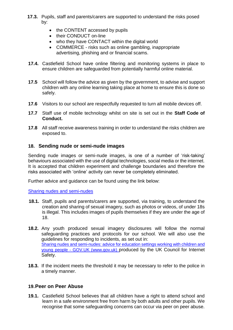- **17.3.** Pupils, staff and parents/carers are supported to understand the risks posed by:
	- the CONTENT accessed by pupils
	- their CONDUCT on-line
	- who they have CONTACT within the digital world
	- COMMERCE risks such as online gambling, inappropriate advertising, phishing and or financial scams.
- **17.4.** Castlefield School have online filtering and monitoring systems in place to ensure children are safeguarded from potentially harmful online material.
- **17.5** School will follow the advice as given by the government, to advise and support children with any online learning taking place at home to ensure this is done so safely.
- **17.6** Visitors to our school are respectfully requested to turn all mobile devices off.
- **17.7** Staff use of mobile technology whilst on site is set out in the **Staff Code of Conduct.**
- **17.8** All staff receive awareness training in order to understand the risks children are exposed to.

## **18. Sending nude or semi-nude images**

Sending nude images or semi-nude images, is one of a number of 'risk-taking' behaviours associated with the use of digital technologies, social media or the internet. It is accepted that children experiment and challenge boundaries and therefore the risks associated with 'online' activity can never be completely eliminated.

Further advice and guidance can be found using the link below:

[Sharing nudes and semi-nudes](https://assets.publishing.service.gov.uk/government/uploads/system/uploads/attachment_data/file/947545/UKCIS_sharing_nudes_and_semi_nudes_advice_for_education_settings_V2.pdf)

- **18.1.** Staff, pupils and parents/carers are supported, via training, to understand the creation and sharing of sexual imagery, such as photos or videos, of under 18s is illegal. This includes images of pupils themselves if they are under the age of 18.
- **18.2.** Any youth produced sexual imagery disclosures will follow the normal safeguarding practices and protocols for our school. We will also use the guidelines for responding to incidents, as set out in: Sharing nudes and semi-nudes: advice for education settings working with children and young people - GOV.UK (www.gov.uk) produced by the UK Council for Internet Safety.
- **18.3.** If the incident meets the threshold it may be necessary to refer to the police in a timely manner.

## **19.Peer on Peer Abuse**

**19.1.** Castlefield School believes that all children have a right to attend school and learn in a safe environment free from harm by both adults and other pupils. We recognise that some safeguarding concerns can occur via peer on peer abuse.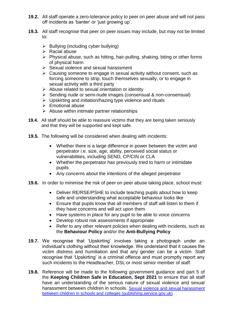- **19.2.** All staff operate a zero-tolerance policy to peer on peer abuse and will not pass off incidents as 'banter' or 'just growing up'.
- **19.3.** All staff recognise that peer on peer issues may include, but may not be limited to:
	- $\triangleright$  Bullying (including cyber bullying)
	- $\triangleright$  Racial abuse
	- ➢ Physical abuse, such as hitting, hair-pulling, shaking, biting or other forms of physical harm
	- ➢ Sexual violence and sexual harassment
	- $\triangleright$  Causing someone to engage in sexual activity without consent, such as forcing someone to strip, touch themselves sexually, or to engage in sexual activity with a third party
	- $\triangleright$  Abuse related to sexual orientation or identity
	- ➢ Sending nude or semi-nude images (consensual & non-consensual)
	- ➢ Upskirting and initiation/hazing type violence and rituals
	- ➢ Emotional abuse
	- $\triangleright$  Abuse within intimate partner relationships
- **19.4.** All staff should be able to reassure victims that they are being taken seriously and that they will be supported and kept safe.
- **19.5.** The following will be considered when dealing with incidents:
	- Whether there is a large difference in power between the victim and perpetrator i.e. size, age, ability, perceived social status or vulnerabilities, including SEND, CP/CIN or CLA
	- Whether the perpetrator has previously tried to harm or intimidate pupils
	- Any concerns about the intentions of the alleged perpetrator
- **19.6.** In order to minimise the risk of peer on peer abuse taking place, school must:
	- Deliver RE/RSE/PSHE to include teaching pupils about how to keep safe and understanding what acceptable behaviour looks like
	- Ensure that pupils know that all members of staff will listen to them if they have concerns and will act upon them
	- Have systems in place for any pupil to be able to voice concerns
	- Develop robust risk assessments if appropriate
	- Refer to any other relevant policies when dealing with incidents, such as the **Behaviour Policy** and/or the **Anti-Bullying Policy**
- **19.7.** We recognise that 'Upskirting' involves taking a photograph under an individual's clothing without their knowledge. We understand that it causes the victim distress and humiliation and that any gender can be a victim. Staff recognise that 'Upskirting' is a criminal offence and must promptly report any such incidents to the Headteacher, DSL or most senior member of staff.
- **19.8.** Reference will be made to the following government guidance and part 5 of the **Keeping Children Safe in Education, Sept 2021** to ensure that all staff have an understanding of the serious nature of sexual violence and sexual harassment between children in schools. [Sexual violence and sexual harassment](https://assets.publishing.service.gov.uk/government/uploads/system/uploads/attachment_data/file/999239/SVSH_2021.pdf)  [between children in schools and colleges \(publishing.service.gov.uk\)](https://assets.publishing.service.gov.uk/government/uploads/system/uploads/attachment_data/file/999239/SVSH_2021.pdf)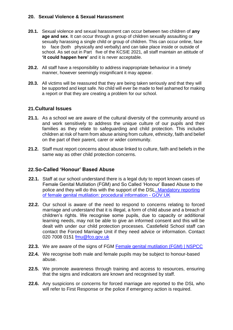#### **20. Sexual Violence & Sexual Harassment**

- **20.1.** Sexual violence and sexual harassment can occur between two children of **any age and sex**. It can occur through a group of children sexually assaulting or sexually harassing a single child or group of children. This can occur online, face to face (both physically and verbally) and can take place inside or outside of school. As set out in Part five of the KCSIE 2021, all staff maintain an attitude of **'it could happen here'** and it is never acceptable.
- **20.2.** All staff have a responsibility to address inappropriate behaviour in a timely manner, however seemingly insignificant it may appear.
- **20.3.** All victims will be reassured that they are being taken seriously and that they will be supported and kept safe. No child will ever be made to feel ashamed for making a report or that they are creating a problem for our school.

#### **21.Cultural Issues**

- **21.1.** As a school we are aware of the cultural diversity of the community around us and work sensitively to address the unique culture of our pupils and their families as they relate to safeguarding and child protection. This includes children at risk of harm from abuse arising from culture, ethnicity, faith and belief on the part of their parent, carer or wider community.
- **21.2.** Staff must report concerns about abuse linked to culture, faith and beliefs in the same way as other child protection concerns.

## **22.So-Called 'Honour' Based Abuse**

- **22.1.** Staff at our school understand there is a legal duty to report known cases of Female Genital Mutilation (FGM) and So Called 'Honour' Based Abuse to the police and they will do this with the support of the DSL. [Mandatory reporting](https://www.gov.uk/government/publications/mandatory-reporting-of-female-genital-mutilation-procedural-information)  [of female genital mutilation: procedural information -](https://www.gov.uk/government/publications/mandatory-reporting-of-female-genital-mutilation-procedural-information) GOV.UK
- **22.2.** Our school is aware of the need to respond to concerns relating to forced marriage and understand that it is illegal, a form of child abuse and a breach of children's rights. We recognise some pupils, due to capacity or additional learning needs, may not be able to give an informed consent and this will be dealt with under our child protection processes. Castlefield School staff can contact the Forced Marriage Unit if they need advice or information. Contact 020 7008 0151 [fmu@fco.gov.uk](mailto:fmu@fco.gov.uk)
- **22.3.** We are aware of the signs of FGM [Female genital mutilation \(FGM\) | NSPCC](https://www.nspcc.org.uk/what-is-child-abuse/types-of-abuse/female-genital-mutilation-fgm/)
- **22.4.** We recognise both male and female pupils may be subject to honour-based abuse.
- **22.5.** We promote awareness through training and access to resources, ensuring that the signs and indicators are known and recognised by staff.
- **22.6.** Any suspicions or concerns for forced marriage are reported to the DSL who will refer to First Response or the police if emergency action is required.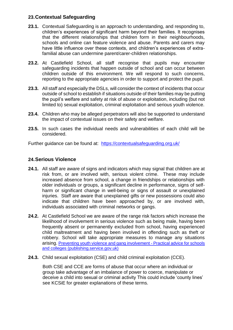## **23.Contextual Safeguarding**

- **23.1.** Contextual Safeguarding is an approach to understanding, and responding to, children's experiences of significant harm beyond their families. It recognises that the different relationships that children form in their neighbourhoods, schools and online can feature violence and abuse. Parents and carers may have little influence over these contexts, and children's experiences of extrafamilial abuse can undermine parent/carer-children relationships.
- **23.2.** At Castlefield School, all staff recognise that pupils may encounter safeguarding incidents that happen outside of school and can occur between children outside of this environment. We will respond to such concerns, reporting to the appropriate agencies in order to support and protect the pupil.
- **23.3.** All staff and especially the DSLs, will consider the context of incidents that occur outside of school to establish if situations outside of their families may be putting the pupil's welfare and safety at risk of abuse or exploitation, including (but not limited to) sexual exploitation, criminal exploitation and serious youth violence.
- **23.4.** Children who may be alleged perpetrators will also be supported to understand the impact of contextual issues on their safety and welfare.
- **23.5.** In such cases the individual needs and vulnerabilities of each child will be considered.

Further guidance can be found at: <https://contextualsafeguarding.org.uk/>

## **24.Serious Violence**

- **24.1.** All staff are aware of signs and indicators which may signal that children are at risk from, or are involved with, serious violent crime. These may include increased absence from school, a change in friendships or relationships with older individuals or groups, a significant decline in performance, signs of selfharm or significant change in well-being or signs of assault or unexplained injuries. Staff are aware that unexplained gifts or new possessions could also indicate that children have been approached by, or are involved with, individuals associated with criminal networks or gangs.
- **24.2.** At Castlefield School we are aware of the range risk factors which increase the likelihood of involvement in serious violence such as being male, having been frequently absent or permanently excluded from school, having experienced child maltreatment and having been involved in offending such as theft or robbery. School will take appropriate measures to manage any situations arising. [Preventing youth violence and gang involvement -](https://assets.publishing.service.gov.uk/government/uploads/system/uploads/attachment_data/file/418131/Preventing_youth_violence_and_gang_involvement_v3_March2015.pdf) Practical advice for schools [and colleges \(publishing.service.gov.uk\)](https://assets.publishing.service.gov.uk/government/uploads/system/uploads/attachment_data/file/418131/Preventing_youth_violence_and_gang_involvement_v3_March2015.pdf)
- **24.3.** Child sexual exploitation (CSE) and child criminal exploitation (CCE).

Both CSE and CCE are forms of abuse that occur where an individual or group take advantage of an imbalance of power to coerce, manipulate or deceive a child into sexual or criminal activity This could include 'county lines' see KCSiE for greater explanations of these terms.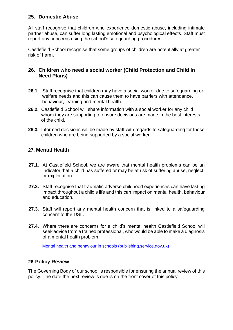## **25. Domestic Abuse**

All staff recognise that children who experience domestic abuse, including intimate partner abuse, can suffer long lasting emotional and psychological effects. Staff must report any concerns using the school's safeguarding procedures.

Castlefield School recognise that some groups of children are potentially at greater risk of harm.

## **26. Children who need a social worker (Child Protection and Child In Need Plans)**

- **26.1.** Staff recognise that children may have a social worker due to safeguarding or welfare needs and this can cause them to have barriers with attendance, behaviour, learning and mental health.
- **26.2.** Castlefield School will share information with a social worker for any child whom they are supporting to ensure decisions are made in the best interests of the child.
- **26.3.** Informed decisions will be made by staff with regards to safeguarding for those children who are being supported by a social worker.

## **27. Mental Health**

- **27.1.** At Castlefield School, we are aware that mental health problems can be an indicator that a child has suffered or may be at risk of suffering abuse, neglect, or exploitation.
- **27.2.** Staff recognise that traumatic adverse childhood experiences can have lasting impact throughout a child's life and this can impact on mental health, behaviour and education.
- **27.3.** Staff will report any mental health concern that is linked to a safeguarding concern to the DSL.
- **27.4.** Where there are concerns for a child's mental health Castlefield School will seek advice from a trained professional, who would be able to make a diagnosis of a mental health problem.

[Mental health and behaviour in schools \(publishing.service.gov.uk\)](https://assets.publishing.service.gov.uk/government/uploads/system/uploads/attachment_data/file/755135/Mental_health_and_behaviour_in_schools__.pdf)

## **28.Policy Review**

The Governing Body of our school is responsible for ensuring the annual review of this policy. The date the next review is due is on the front cover of this policy.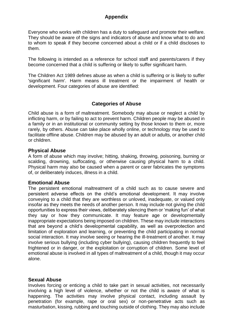## **Appendix**

Everyone who works with children has a duty to safeguard and promote their welfare. They should be aware of the signs and indicators of abuse and know what to do and to whom to speak if they become concerned about a child or if a child discloses to them.

The following is intended as a reference for school staff and parents/carers if they become concerned that a child is suffering or likely to suffer significant harm.

The Children Act 1989 defines abuse as when a child is suffering or is likely to suffer 'significant harm'. Harm means ill treatment or the impairment of health or development. Four categories of abuse are identified:

## **Categories of Abuse**

Child abuse is a form of maltreatment. Somebody may abuse or neglect a child by inflicting harm, or by failing to act to prevent harm. Children people may be abused in a family or in an institutional or community setting by those known to them or, more rarely, by others. Abuse can take place wholly online, or technology may be used to facilitate offline abuse. Children may be abused by an adult or adults, or another child or children.

#### **Physical Abuse**

A form of abuse which may involve; hitting, shaking, throwing, poisoning, burning or scalding, drowning, suffocating, or otherwise causing physical harm to a child. Physical harm may also be caused when a parent or carer fabricates the symptoms of, or deliberately induces, illness in a child.

## **Emotional Abuse**

The persistent emotional maltreatment of a child such as to cause severe and persistent adverse effects on the child's emotional development. It may involve conveying to a child that they are worthless or unloved, inadequate, or valued only insofar as they meets the needs of another person. It may include not giving the child opportunities to express their views, deliberately silencing them or 'making fun' of what they say or how they communicate. It may feature age or developmentally inappropriate expectations being imposed on children. These may include interactions that are beyond a child's developmental capability, as well as overprotection and limitation of exploration and learning, or preventing the child participating in normal social interaction. It may involve seeing or hearing the ill-treatment of another. It may involve serious bullying (including cyber bullying), causing children frequently to feel frightened or in danger, or the exploitation or corruption of children. Some level of emotional abuse is involved in all types of maltreatment of a child, though it may occur alone.

## **Sexual Abuse**

Involves forcing or enticing a child to take part in sexual activities, not necessarily involving a high level of violence, whether or not the child is aware of what is happening. The activities may involve physical contact, including assault by penetration (for example, rape or oral sex) or non-penetrative acts such as masturbation, kissing, rubbing and touching outside of clothing. They may also include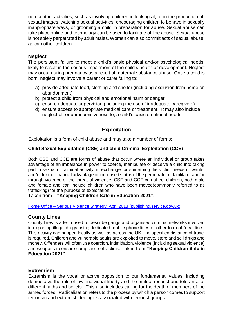non-contact activities, such as involving children in looking at, or in the production of, sexual images, watching sexual activities, encouraging children to behave in sexually inappropriate ways, or grooming a child in preparation for abuse. Sexual abuse can take place online and technology can be used to facilitate offline abuse. Sexual abuse is not solely perpetrated by adult males. Women can also commit acts of sexual abuse, as can other children.

## **Neglect**

The persistent failure to meet a child's basic physical and/or psychological needs, likely to result in the serious impairment of the child's health or development. Neglect may occur during pregnancy as a result of maternal substance abuse. Once a child is born, neglect may involve a parent or carer failing to:

- a) provide adequate food, clothing and shelter (including exclusion from home or abandonment)
- b) protect a child from physical and emotional harm or danger
- c) ensure adequate supervision (including the use of inadequate caregivers)
- d) ensure access to appropriate medical care or treatment. It may also include neglect of, or unresponsiveness to, a child's basic emotional needs.

## **Exploitation**

Exploitation is a form of child abuse and may take a number of forms:

#### **Child Sexual Exploitation (CSE) and child Criminal Exploitation (CCE)**

Both CSE and CCE are forms of abuse that occur where an individual or group takes advantage of an imbalance in power to coerce, manipulate or deceive a child into taking part in sexual or criminal activity, in exchange for something the victim needs or wants, and/or for the financial advantage or increased status of the perpetrator or facilitator and/or through violence or the threat of violence. CSE and CCE can affect children, both male and female and can include children who have been moved(commonly referred to as trafficking) for the purpose of exploitation.

Taken from – **"Keeping Children Safe in Education 2021".**

Home Office – [Serious Violence Strategy, April 2018 \(publishing.service.gov.uk\)](https://assets.publishing.service.gov.uk/government/uploads/system/uploads/attachment_data/file/698009/serious-violence-strategy.pdf)

## **County Lines**

County lines is a term used to describe gangs and organised criminal networks involved in exporting illegal drugs using dedicated mobile phone lines or other form of "deal line". This activity can happen locally as well as across the UK - no specified distance of travel is required. Children and vulnerable adults are exploited to move, store and sell drugs and money. Offenders will often use coercion, intimidation, violence (including sexual violence) and weapons to ensure compliance of victims. Taken from **"Keeping Children Safe in Education 2021"**

#### **Extremism**

Extremism is the vocal or active opposition to our fundamental values, including democracy, the rule of law, individual liberty and the mutual respect and tolerance of different faiths and beliefs. This also includes calling for the death of members of the armed forces. Radicalisation refers to the process by which a person comes to support terrorism and extremist ideologies associated with terrorist groups.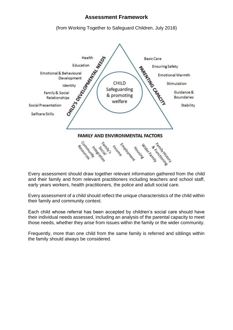## **Assessment Framework**

(from Working Together to Safeguard Children, July 2018)



Every assessment should draw together relevant information gathered from the child and their family and from relevant practitioners including teachers and school staff, early years workers, health practitioners, the police and adult social care.

Every assessment of a child should reflect the unique characteristics of the child within their family and community context.

Each child whose referral has been accepted by children's social care should have their individual needs assessed, including an analysis of the parental capacity to meet those needs, whether they arise from issues within the family or the wider community.

Frequently, more than one child from the same family is referred and siblings within the family should always be considered.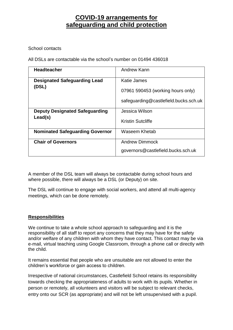## **COVID-19 arrangements for safeguarding and child protection**

School contacts

All DSLs are contactable via the school's number on 01494 436018

| <b>Headteacher</b>                     | Andrew Kann                           |
|----------------------------------------|---------------------------------------|
| <b>Designated Safeguarding Lead</b>    | Katie James                           |
| (DSL)                                  | 07961 590453 (working hours only)     |
|                                        | safeguarding@castlefield.bucks.sch.uk |
| <b>Deputy Designated Safeguarding</b>  | Jessica Wilson                        |
| Lead(s)                                | Kristin Sutcliffe                     |
| <b>Nominated Safeguarding Governor</b> | Waseem Khetab                         |
| <b>Chair of Governors</b>              | <b>Andrew Dimmock</b>                 |
|                                        | governors@castlefield.bucks.sch.uk    |

A member of the DSL team will always be contactable during school hours and where possible, there will always be a DSL (or Deputy) on site.

The DSL will continue to engage with social workers, and attend all multi-agency meetings, which can be done remotely.

## **Responsibilities**

We continue to take a whole school approach to safeguarding and it is the responsibility of all staff to report any concerns that they may have for the safety and/or welfare of any children with whom they have contact. This contact may be via e-mail, virtual teaching using Google Classroom, through a phone call or directly with the child.

It remains essential that people who are unsuitable are not allowed to enter the children's workforce or gain access to children.

Irrespective of national circumstances, Castlefield School retains its responsibility towards checking the appropriateness of adults to work with its pupils. Whether in person or remotely, all volunteers and visitors will be subject to relevant checks, entry onto our SCR (as appropriate) and will not be left unsupervised with a pupil.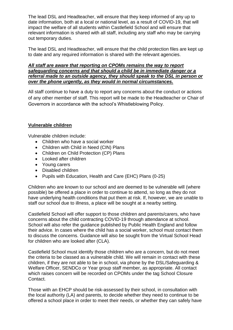The lead DSL and Headteacher, will ensure that they keep informed of any up to date information, both at a local or national level, as a result of COVID-19, that will impact the welfare of all students within Castlefield School and will ensure that relevant information is shared with all staff, including any staff who may be carrying out temporary duties.

The lead DSL and Headteacher, will ensure that the child protection files are kept up to date and any required information is shared with the relevant agencies.

#### *All staff are aware that reporting on CPOMs remains the way to report safeguarding concerns and that should a child be in immediate danger or a referral made to an outside agency, they should speak to the DSL in person or over the phone urgently, as they would in normal circumstances.*

All staff continue to have a duty to report any concerns about the conduct or actions of any other member of staff. This report will be made to the Headteacher or Chair of Governors in accordance with the school's Whistleblowing Policy.

#### **Vulnerable children**

Vulnerable children include:

- Children who have a social worker
- Children with Child in Need (CIN) Plans
- Children on Child Protection (CP) Plans
- Looked after children
- Young carers
- Disabled children
- Pupils with Education, Health and Care (EHC) Plans (0-25)

Children who are known to our school and are deemed to be vulnerable will (where possible) be offered a place in order to continue to attend, so long as they do not have underlying health conditions that put them at risk. If, however, we are unable to staff our school due to illness, a place will be sought at a nearby setting.

Castlefield School will offer support to those children and parents/carers, who have concerns about the child contracting COVID-19 through attendance at school. School will also refer the guidance published by Public Health England and follow their advice. In cases where the child has a social worker, school must contact them to discuss the concerns. Guidance will also be sought from the Virtual School Head for children who are looked after (CLA).

Castlefield School must identify those children who are a concern, but do not meet the criteria to be classed as a vulnerable child. We will remain in contact with these children, if they are not able to be in school, via phone by the DSL/Safeguarding & Welfare Officer, SENDCo or Year group staff member, as appropriate. All contact which raises concern will be recorded on CPOMs under the tag School Closure Contact.

Those with an EHCP should be risk-assessed by their school, in consultation with the local authority (LA) and parents, to decide whether they need to continue to be offered a school place in order to meet their needs, or whether they can safely have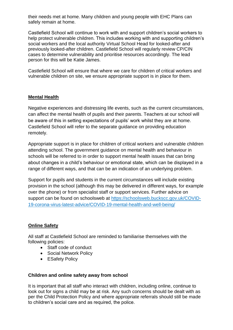their needs met at home. Many children and young people with EHC Plans can safely remain at home.

Castlefield School will continue to work with and support children's social workers to help protect vulnerable children. This includes working with and supporting children's social workers and the local authority Virtual School Head for looked-after and previously looked-after children. Castlefield School will regularly review CP/CIN cases to determine vulnerability and prioritise resources accordingly. The lead person for this will be Katie James.

Castlefield School will ensure that where we care for children of critical workers and vulnerable children on site, we ensure appropriate support is in place for them.

## **Mental Health**

Negative experiences and distressing life events, such as the current circumstances, can affect the mental health of pupils and their parents. Teachers at our school will be aware of this in setting expectations of pupils' work whilst they are at home. Castlefield School will refer to the separate guidance on providing education remotely.

Appropriate support is in place for children of critical workers and vulnerable children attending school. The government guidance on mental health and behaviour in schools will be referred to in order to support mental health issues that can bring about changes in a child's behaviour or emotional state, which can be displayed in a range of different ways, and that can be an indication of an underlying problem.

Support for pupils and students in the current circumstances will include existing provision in the school (although this may be delivered in different ways, for example over the phone) or from specialist staff or support services. Further advice on support can be found on schoolsweb at [https://schoolsweb.buckscc.gov.uk/COVID-](https://schoolsweb.buckscc.gov.uk/covid-19-corona-virus-latest-advice/covid-19-mental-health-and-well-being/)[19-corona-virus-latest-advice/COVID-19-mental-health-and-well-being/](https://schoolsweb.buckscc.gov.uk/covid-19-corona-virus-latest-advice/covid-19-mental-health-and-well-being/)

## **Online Safety**

All staff at Castlefield School are reminded to familiarise themselves with the following policies:

- Staff code of conduct
- Social Network Policy
- ESafety Policy

#### **Children and online safety away from school**

It is important that all staff who interact with children, including online, continue to look out for signs a child may be at risk. Any such concerns should be dealt with as per the Child Protection Policy and where appropriate referrals should still be made to children's social care and as required, the police.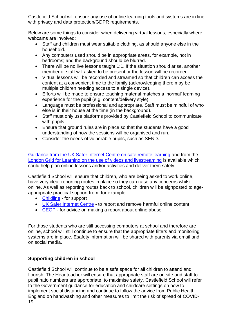Castlefield School will ensure any use of online learning tools and systems are in line with privacy and data protection/GDPR requirements.

Below are some things to consider when delivering virtual lessons, especially where webcams are involved:

- Staff and children must wear suitable clothing, as should anyone else in the household.
- Any computers used should be in appropriate areas, for example, not in bedrooms; and the background should be blurred.
- There will be no live lessons taught 1:1. If the situation should arise, another member of staff will asked to be present or the lesson will be recorded.
- Virtual lessons will be recorded and streamed so that children can access the content at a convenient time to the family (acknowledging there may be multiple children needing access to a single device).
- Efforts will be made to ensure teaching material matches a 'normal' learning experience for the pupil (e.g. content/delivery style)
- Language must be professional and appropriate. Staff must be mindful of who else is in their house at the time (in the background).
- Staff must only use platforms provided by Castlefield School to communicate with pupils
- Ensure that ground rules are in place so that the students have a good understanding of how the sessions will be organised and run.
- Consider the needs of vulnerable pupils, such as SEND.

[Guidance from the UK Safer Internet Centre on safe remote learning](https://swgfl.org.uk/resources/safe-remote-learning/) and from the [London Grid for Learning on the use of videos and livestreaming](https://static.lgfl.net/LgflNet/downloads/digisafe/Safe-Lessons-by-Video-and-Livestream.pdf) is available which could help plan online lessons and/or activities and deliver them safely.

Castlefield School will ensure that children, who are being asked to work online, have very clear reporting routes in place so they can raise any concerns whilst online. As well as reporting routes back to school, children will be signposted to ageappropriate practical support from, for example:

- [Childline](https://www.childline.org.uk/?utm_source=google&utm_medium=cpc&utm_campaign=UK_GO_S_B_BND_Grant_Childline_Information&utm_term=role_of_childline&gclsrc=aw.ds&&gclid=EAIaIQobChMIlfLRh-ez6AIVRrDtCh1N9QR2EAAYASAAEgLc-vD_BwE&gclsrc=aw.ds) for support
- [UK Safer Internet Centre](https://reportharmfulcontent.com/) to report and remove harmful online content
- [CEOP](https://www.ceop.police.uk/safety-centre/) for advice on making a report about online abuse

For those students who are still accessing computers at school and therefore are online, school will still continue to ensure that the appropriate filters and monitoring systems are in place. Esafety information will be shared with parents via email and on social media.

## **Supporting children in school**

Castlefield School will continue to be a safe space for all children to attend and flourish. The Headteacher will ensure that appropriate staff are on site and staff to pupil ratio numbers are appropriate, to maximise safety. Castlefield School will refer to the Government guidance for education and childcare settings on how to implement social distancing and continue to follow the advice from Public Health England on handwashing and other measures to limit the risk of spread of COVID-19.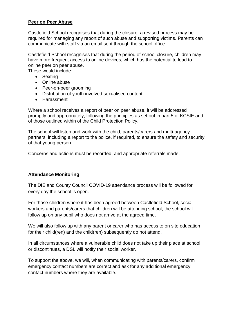#### **Peer on Peer Abuse**

Castlefield School recognises that during the closure, a revised process may be required for managing any report of such abuse and supporting victims**.** Parents can communicate with staff via an email sent through the school office.

Castlefield School recognises that during the period of school closure, children may have more frequent access to online devices, which has the potential to lead to online peer on peer abuse.

These would include:

- Sexting
- Online abuse
- Peer-on-peer grooming
- Distribution of youth involved sexualised content
- Harassment

Where a school receives a report of peer on peer abuse, it will be addressed promptly and appropriately, following the principles as set out in part 5 of KCSIE and of those outlined within of the Child Protection Policy.

The school will listen and work with the child, parents/carers and multi-agency partners, including a report to the police, if required, to ensure the safety and security of that young person.

Concerns and actions must be recorded, and appropriate referrals made.

#### **Attendance Monitoring**

The DfE and County Council COVID-19 attendance process will be followed for every day the school is open.

For those children where it has been agreed between Castlefield School, social workers and parents/carers that children will be attending school, the school will follow up on any pupil who does not arrive at the agreed time.

We will also follow up with any parent or carer who has access to on site education for their child(ren) and the child(ren) subsequently do not attend.

In all circumstances where a vulnerable child does not take up their place at school or discontinues, a DSL will notify their social worker.

To support the above, we will, when communicating with parents/carers, confirm emergency contact numbers are correct and ask for any additional emergency contact numbers where they are available.